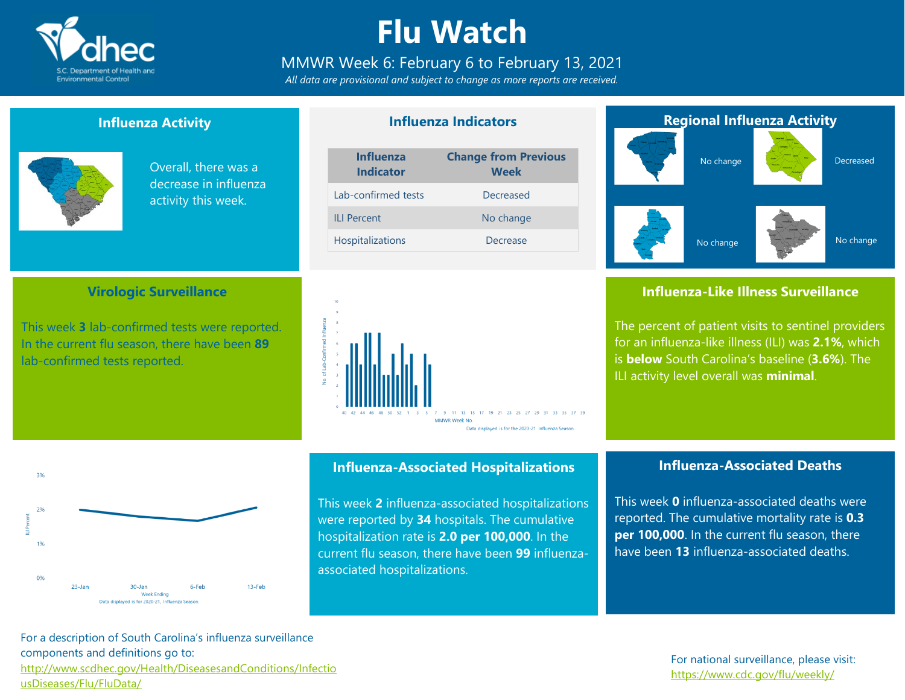

## **Flu Watch**

### MMWR Week 6: February 6 to February 13, 2021

*All data are provisional and subject to change as more reports are received.*

#### **Influenza Activity**

**Virologic Surveillance**

This week **3** lab-confirmed tests were reported. In the current flu season, there have been **89**

lab-confirmed tests reported.



Overall, there was a decrease in influenza activity this week.

### **Influenza Indicators**

| <b>Influenza</b><br><b>Indicator</b> | <b>Change from Previous</b><br><b>Week</b> |  |  |  |
|--------------------------------------|--------------------------------------------|--|--|--|
| Lab-confirmed tests                  | Decreased                                  |  |  |  |
| <b>II I Percent</b>                  | No change                                  |  |  |  |
| Hospitalizations                     | Decrease                                   |  |  |  |



# **Regional Influenza Activity** No change Decreased

No change

### **Influenza-Like Illness Surveillance**

No change

The percent of patient visits to sentinel providers for an influenza-like illness (ILI) was **2.1%**, which is **below** South Carolina's baseline (**3.6%**). The ILI activity level overall was **minimal**.



#### **Influenza-Associated Hospitalizations**

This week **2** influenza-associated hospitalizations were reported by **34** hospitals. The cumulative hospitalization rate is **2.0 per 100,000**. In the current flu season, there have been **99** influenzaassociated hospitalizations.

#### **Influenza-Associated Deaths**

This week **0** influenza-associated deaths were reported. The cumulative mortality rate is **0.3 per 100,000**. In the current flu season, there have been **13** influenza-associated deaths.

For a description of South Carolina's influenza surveillance components and definitions go to: [http://www.scdhec.gov/Health/DiseasesandConditions/Infectio](http://www.scdhec.gov/Health/DiseasesandConditions/InfectiousDiseases/Flu/FluData/) [usDiseases/Flu/FluData/](http://www.scdhec.gov/Health/DiseasesandConditions/InfectiousDiseases/Flu/FluData/)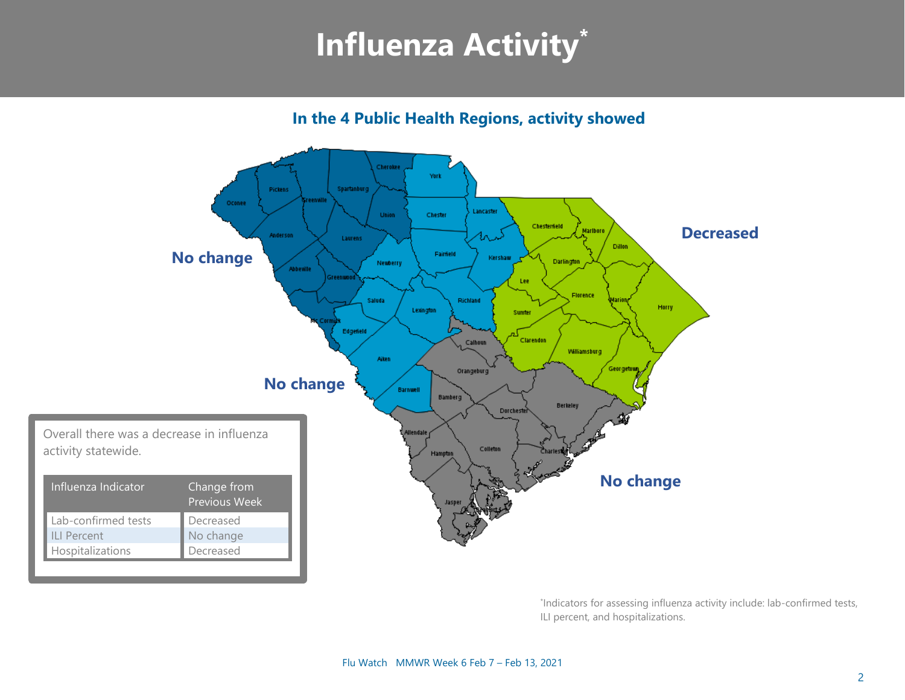# **Influenza Activity\***

**In the 4 Public Health Regions, activity showed**



\* Indicators for assessing influenza activity include: lab-confirmed tests, ILI percent, and hospitalizations.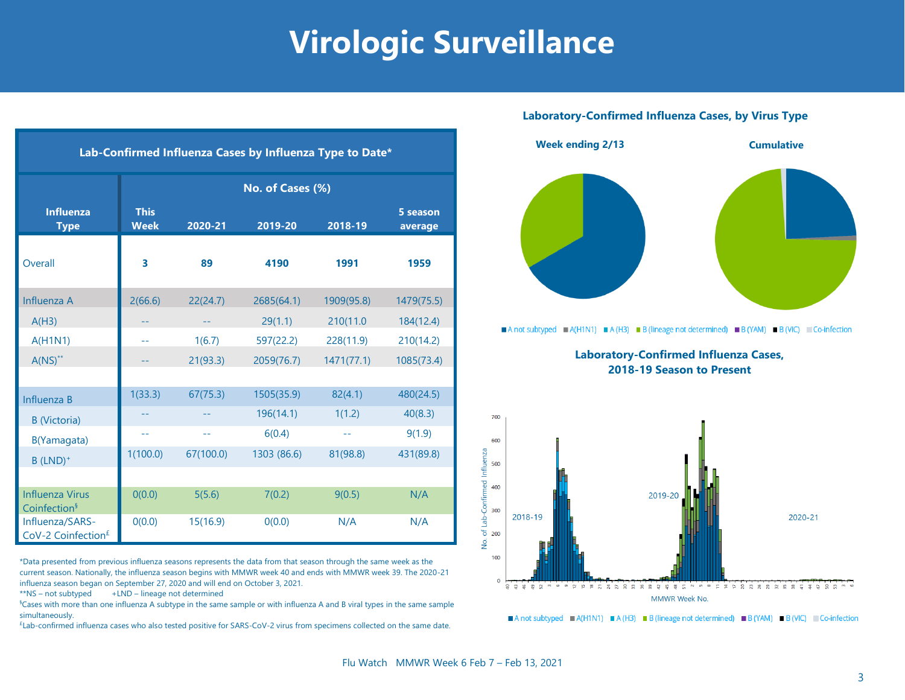### **Virologic Surveillance**

| Lab-Confirmed Influenza Cases by Influenza Type to Date* |                            |           |             |            |                     |  |
|----------------------------------------------------------|----------------------------|-----------|-------------|------------|---------------------|--|
|                                                          | No. of Cases (%)           |           |             |            |                     |  |
| <b>Influenza</b><br><b>Type</b>                          | <b>This</b><br><b>Week</b> | 2020-21   | 2019-20     | 2018-19    | 5 season<br>average |  |
| Overall                                                  | 3                          | 89        | 4190        | 1991       | 1959                |  |
| Influenza A                                              | 2(66.6)                    | 22(24.7)  | 2685(64.1)  | 1909(95.8) | 1479(75.5)          |  |
| A(H3)                                                    |                            |           | 29(1.1)     | 210(11.0   | 184(12.4)           |  |
| A(H1N1)                                                  | $-1$                       | 1(6.7)    | 597(22.2)   | 228(11.9)  | 210(14.2)           |  |
| $A(NS)^{**}$                                             |                            | 21(93.3)  | 2059(76.7)  | 1471(77.1) | 1085(73.4)          |  |
|                                                          |                            |           |             |            |                     |  |
| Influenza B                                              | 1(33.3)                    | 67(75.3)  | 1505(35.9)  | 82(4.1)    | 480(24.5)           |  |
| <b>B</b> (Victoria)                                      |                            |           | 196(14.1)   | 1(1.2)     | 40(8.3)             |  |
| B(Yamagata)                                              | $-1$                       | $-$       | 6(0.4)      | $-1$       | 9(1.9)              |  |
| $B$ (LND) <sup>+</sup>                                   | 1(100.0)                   | 67(100.0) | 1303 (86.6) | 81(98.8)   | 431(89.8)           |  |
|                                                          |                            |           |             |            |                     |  |
| <b>Influenza Virus</b><br>Coinfection <sup>§</sup>       | 0(0.0)                     | 5(5.6)    | 7(0.2)      | 9(0.5)     | N/A                 |  |
| Influenza/SARS-<br>CoV-2 Coinfection <sup>£</sup>        | O(0.0)                     | 15(16.9)  | 0(0.0)      | N/A        | N/A                 |  |

\*Data presented from previous influenza seasons represents the data from that season through the same week as the current season. Nationally, the influenza season begins with MMWR week 40 and ends with MMWR week 39. The 2020-21 influenza season began on September 27, 2020 and will end on October 3, 2021.

 $**$ NS – not subtyped  $+LND$  – lineage not determined

§Cases with more than one influenza A subtype in the same sample or with influenza A and B viral types in the same sample simultaneously.

£ Lab-confirmed influenza cases who also tested positive for SARS-CoV-2 virus from specimens collected on the same date.

#### **Laboratory-Confirmed Influenza Cases, by Virus Type**



A not subtyped  $\blacksquare$  A(H1N1)  $\blacksquare$  A(H3)  $\blacksquare$  B (lineage not determined)  $\blacksquare$  B (YAM)  $\blacksquare$  B (VIC)  $\blacksquare$  Co-infection

**Laboratory-Confirmed Influenza Cases, 2018-19 Season to Present**



A not subtyped  $A(H1N1) = A(H3) = B$  (lineage not determined) B (YAM) B (VIC) Co-infection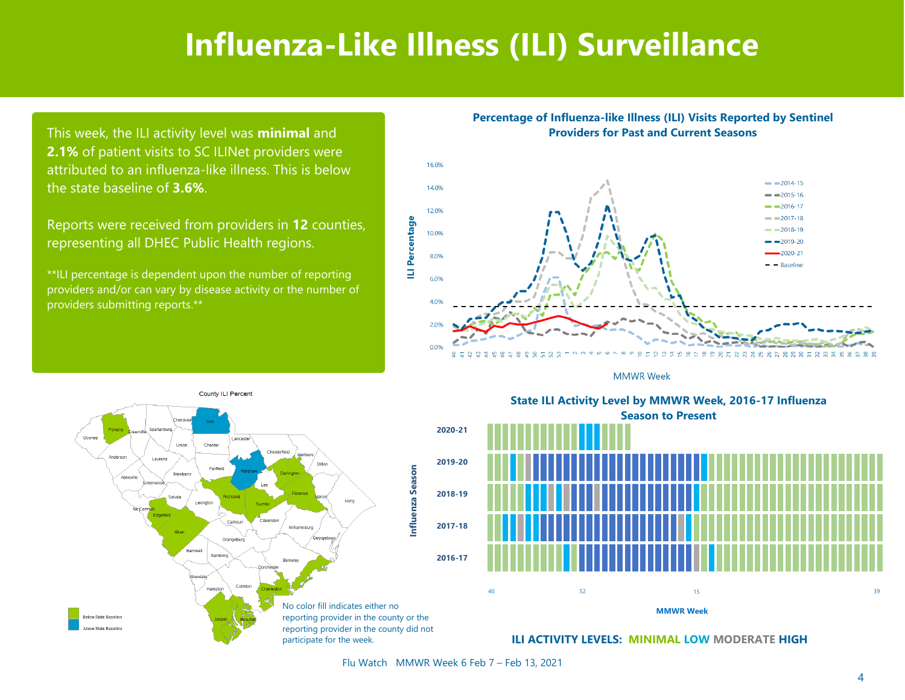### **Influenza-Like Illness (ILI) Surveillance**

This week, the ILI activity level was **minimal** and **2.1%** of patient visits to SC ILINet providers were attributed to an influenza-like illness. This is below the state baseline of **3.6%**.

Reports were received from providers in **12** counties, representing all DHEC Public Health regions.

\*\*ILI percentage is dependent upon the number of reporting providers and/or can vary by disease activity or the number of providers submitting reports.\*\*

**Percentage of Influenza-like Illness (ILI) Visits Reported by Sentinel Providers for Past and Current Seasons**







State ILI Activity Level by MMWR Week, 2016-17 Influenza **Season to Present** Season to Present **State ILI Activity Level by MMWR Week, 2016-17 Influenza**



**ILI ACTIVITY LEVELS: MINIMAL LOW MODERATE HIGH**

Flu Watch MMWR Week 6 Feb 7 – Feb 13, 2021